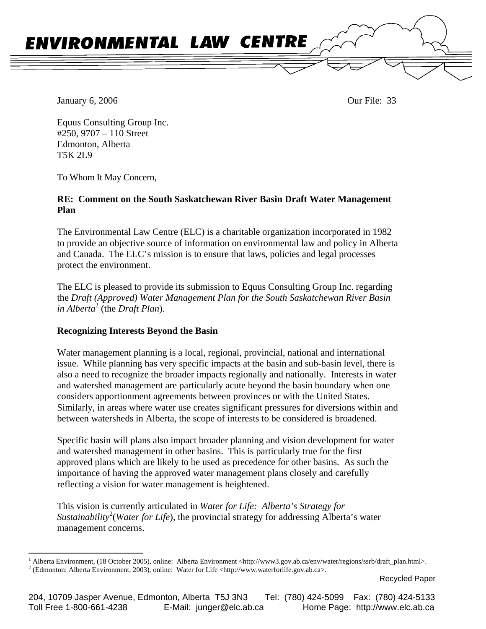

January 6, 2006 **Our File: 33** 

Equus Consulting Group Inc. #250, 9707 – 110 Street Edmonton, Alberta T5K 2L9

To Whom It May Concern,

## **RE: Comment on the South Saskatchewan River Basin Draft Water Management Plan**

The Environmental Law Centre (ELC) is a charitable organization incorporated in 1982 to provide an objective source of information on environmental law and policy in Alberta and Canada. The ELC's mission is to ensure that laws, policies and legal processes protect the environment.

The ELC is pleased to provide its submission to Equus Consulting Group Inc. regarding the *Draft (Approved) Water Management Plan for the South Saskatchewan River Basin in Alberta [1](#page-0-0)* (the *Draft Plan*).

## **Recognizing Interests Beyond the Basin**

Water management planning is a local, regional, provincial, national and international issue. While planning has very specific impacts at the basin and sub-basin level, there is also a need to recognize the broader impacts regionally and nationally. Interests in water and watershed management are particularly acute beyond the basin boundary when one considers apportionment agreements between provinces or with the United States. Similarly, in areas where water use creates significant pressures for diversions within and between watersheds in Alberta, the scope of interests to be considered is broadened.

Specific basin will plans also impact broader planning and vision development for water and watershed management in other basins. This is particularly true for the first approved plans which are likely to be used as precedence for other basins. As such the importance of having the approved water management plans closely and carefully reflecting a vision for water management is heightened.

This vision is currently articulated in *Water for Life: Alberta's Strategy for Sustainability*<sup>[2](#page-0-1)</sup>(*Water for Life*), the provincial strategy for addressing Alberta's water management concerns.

<span id="page-0-1"></span><span id="page-0-0"></span> $\frac{1}{1}$ Alberta Environment, (18 October 2005), online: Alberta Environment <http://www3.gov.ab.ca/env/water/regions/ssrb/draft\_plan.html>. 2 (Edmonton: Alberta Environment, 2003), online: Water for Life <http://www.waterforlife.gov.ab.ca>.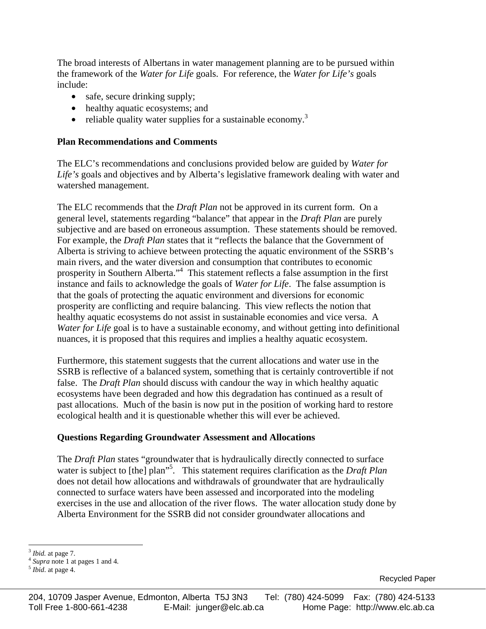The broad interests of Albertans in water management planning are to be pursued within the framework of the *Water for Life* goals. For reference, the *Water for Life's* goals include:

- safe, secure drinking supply;
- healthy aquatic ecosystems; and
- reliable quality water supplies for a sustainable economy.<sup>[3](#page-1-0)</sup>

### **Plan Recommendations and Comments**

The ELC's recommendations and conclusions provided below are guided by *Water for Life's* goals and objectives and by Alberta's legislative framework dealing with water and watershed management.

The ELC recommends that the *Draft Plan* not be approved in its current form. On a general level, statements regarding "balance" that appear in the *Draft Plan* are purely subjective and are based on erroneous assumption. These statements should be removed. For example, the *Draft Plan* states that it "reflects the balance that the Government of Alberta is striving to achieve between protecting the aquatic environment of the SSRB's main rivers, and the water diversion and consumption that contributes to economic prosperity in Southern Alberta."<sup>[4](#page-1-1)</sup> This statement reflects a false assumption in the first instance and fails to acknowledge the goals of *Water for Life*. The false assumption is that the goals of protecting the aquatic environment and diversions for economic prosperity are conflicting and require balancing. This view reflects the notion that healthy aquatic ecosystems do not assist in sustainable economies and vice versa. A *Water for Life* goal is to have a sustainable economy, and without getting into definitional nuances, it is proposed that this requires and implies a healthy aquatic ecosystem.

Furthermore, this statement suggests that the current allocations and water use in the SSRB is reflective of a balanced system, something that is certainly controvertible if not false. The *Draft Plan* should discuss with candour the way in which healthy aquatic ecosystems have been degraded and how this degradation has continued as a result of past allocations. Much of the basin is now put in the position of working hard to restore ecological health and it is questionable whether this will ever be achieved.

#### **Questions Regarding Groundwater Assessment and Allocations**

The *Draft Plan* states "groundwater that is hydraulically directly connected to surface water is subject to [the] plan<sup>3[5](#page-1-2)</sup>. This statement requires clarification as the *Draft Plan* does not detail how allocations and withdrawals of groundwater that are hydraulically connected to surface waters have been assessed and incorporated into the modeling exercises in the use and allocation of the river flows. The water allocation study done by Alberta Environment for the SSRB did not consider groundwater allocations and

<sup>1</sup> 

<span id="page-1-0"></span><sup>3</sup> *Ibid.* at page 7. 4 *Supra* note 1 at pages 1 and 4. 5 *Ibid*. at page 4.

<span id="page-1-2"></span><span id="page-1-1"></span>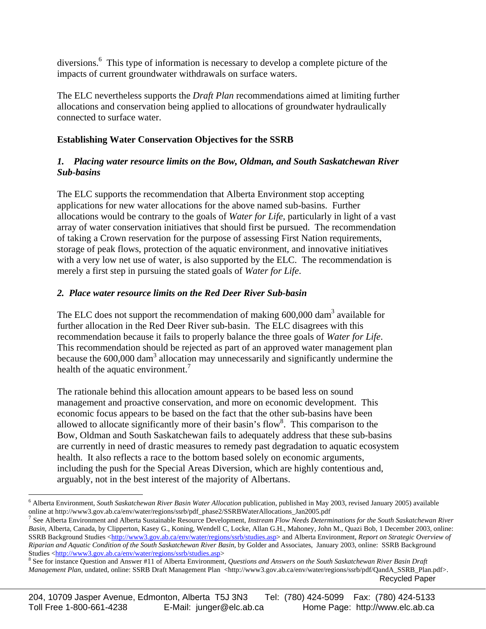diversions.<sup>[6](#page-2-0)</sup> This type of information is necessary to develop a complete picture of the impacts of current groundwater withdrawals on surface waters.

The ELC nevertheless supports the *Draft Plan* recommendations aimed at limiting further allocations and conservation being applied to allocations of groundwater hydraulically connected to surface water.

# **Establishing Water Conservation Objectives for the SSRB**

## *1. Placing water resource limits on the Bow, Oldman, and South Saskatchewan River Sub-basins*

The ELC supports the recommendation that Alberta Environment stop accepting applications for new water allocations for the above named sub-basins. Further allocations would be contrary to the goals of *Water for Life*, particularly in light of a vast array of water conservation initiatives that should first be pursued. The recommendation of taking a Crown reservation for the purpose of assessing First Nation requirements, storage of peak flows, protection of the aquatic environment, and innovative initiatives with a very low net use of water, is also supported by the ELC. The recommendation is merely a first step in pursuing the stated goals of *Water for Life*.

# *2. Place water resource limits on the Red Deer River Sub-basin*

The ELC does not support the recommendation of making  $600,000$  dam<sup>3</sup> available for further allocation in the Red Deer River sub-basin. The ELC disagrees with this recommendation because it fails to properly balance the three goals of *Water for Life*. This recommendation should be rejected as part of an approved water management plan because the 600,000 dam<sup>3</sup> allocation may unnecessarily and significantly undermine the health of the aquatic environment.<sup>[7](#page-2-1)</sup>

The rationale behind this allocation amount appears to be based less on sound management and proactive conservation, and more on economic development. This economic focus appears to be based on the fact that the other sub-basins have been allowed to allocate significantly more of their basin's flow<sup>8</sup>[.](#page-2-2) This comparison to the Bow, Oldman and South Saskatchewan fails to adequately address that these sub-basins are currently in need of drastic measures to remedy past degradation to aquatic ecosystem health. It also reflects a race to the bottom based solely on economic arguments, including the push for the Special Areas Diversion, which are highly contentious and, arguably, not in the best interest of the majority of Albertans.

<span id="page-2-0"></span><sup>1</sup> 6 Alberta Environment, *South Saskatchewan River Basin Water Allocation* publication, published in May 2003, revised January 2005) available online at http://www3.gov.ab.ca/env/water/regions/ssrb/pdf\_phase2/SSRBWaterAllocations\_Jan2005.pdf<br><sup>7</sup> See Alberta Environment and Alberta Sustainable Resource Development, *Instream Flow Needs Determinations for the South* 

<span id="page-2-1"></span>*Basin*, Alberta, Canada, by Clipperton, Kasey G., Koning, Wendell C, Locke, Allan G.H., Mahoney, John M., Quazi Bob, 1 December 2003, online: SSRB Background Studies [<http://www3.gov.ab.ca/env/water/regions/ssrb/studies.asp](http://www3.gov.ab.ca/env/water/regions/ssrb/IFN_reports.asp)> and Alberta Environment, *Report on Strategic Overview of Riparian and Aquatic Condition of the South Saskatchewan River Basin*, by Golder and Associates, January 2003, online: SSRB Background Studies <[http://www3.gov.ab.ca/env/water/regions/ssrb/studies.asp>](http://www3.gov.ab.ca/env/water/regions/ssrb/studies.asp) 8

<span id="page-2-2"></span>Recycled Paper <sup>8</sup> See for instance Question and Answer #11 of Alberta Environment, *Questions and Answers on the South Saskatchewan River Basin Draft Management Plan*, undated, online: SSRB Draft Management Plan <http://www3.gov.ab.ca/env/water/regions/ssrb/pdf/QandA\_SSRB\_Plan.pdf>.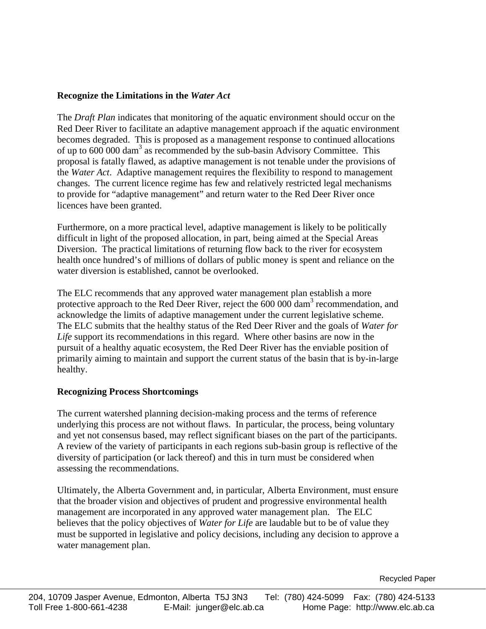### **Recognize the Limitations in the** *Water Act*

The *Draft Plan* indicates that monitoring of the aquatic environment should occur on the Red Deer River to facilitate an adaptive management approach if the aquatic environment becomes degraded. This is proposed as a management response to continued allocations of up to 600 000 dam<sup>3</sup> as recommended by the sub-basin Advisory Committee. This proposal is fatally flawed, as adaptive management is not tenable under the provisions of the *Water Act*. Adaptive management requires the flexibility to respond to management changes. The current licence regime has few and relatively restricted legal mechanisms to provide for "adaptive management" and return water to the Red Deer River once licences have been granted.

Furthermore, on a more practical level, adaptive management is likely to be politically difficult in light of the proposed allocation, in part, being aimed at the Special Areas Diversion. The practical limitations of returning flow back to the river for ecosystem health once hundred's of millions of dollars of public money is spent and reliance on the water diversion is established, cannot be overlooked.

The ELC recommends that any approved water management plan establish a more protective approach to the Red Deer River, reject the 600 000 dam<sup>3</sup> recommendation, and acknowledge the limits of adaptive management under the current legislative scheme. The ELC submits that the healthy status of the Red Deer River and the goals of *Water for Life* support its recommendations in this regard. Where other basins are now in the pursuit of a healthy aquatic ecosystem, the Red Deer River has the enviable position of primarily aiming to maintain and support the current status of the basin that is by-in-large healthy.

### **Recognizing Process Shortcomings**

The current watershed planning decision-making process and the terms of reference underlying this process are not without flaws. In particular, the process, being voluntary and yet not consensus based, may reflect significant biases on the part of the participants. A review of the variety of participants in each regions sub-basin group is reflective of the diversity of participation (or lack thereof) and this in turn must be considered when assessing the recommendations.

Ultimately, the Alberta Government and, in particular, Alberta Environment, must ensure that the broader vision and objectives of prudent and progressive environmental health management are incorporated in any approved water management plan. The ELC believes that the policy objectives of *Water for Life* are laudable but to be of value they must be supported in legislative and policy decisions, including any decision to approve a water management plan.